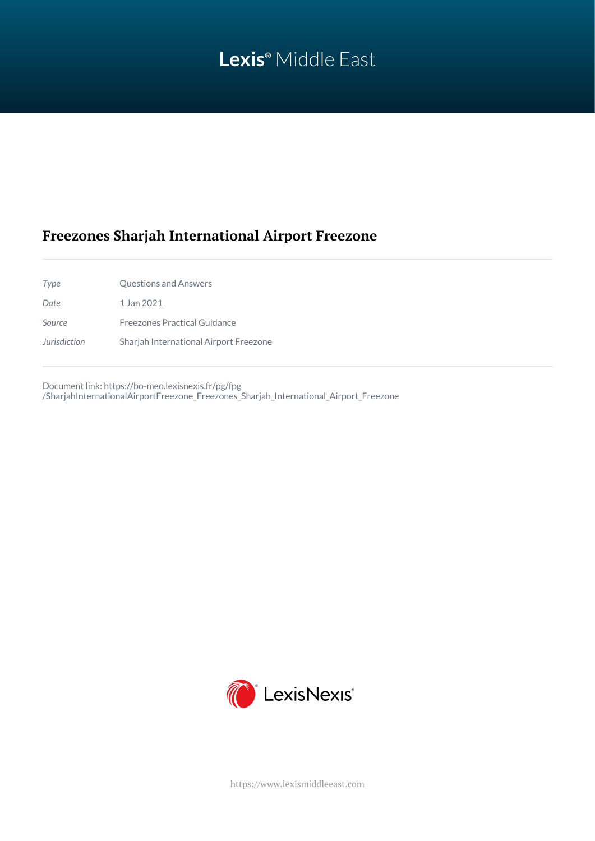# **Lexis®** Middle East

## **Freezones Sharjah International Airport Freezone**

| Type         | <b>Questions and Answers</b>           |
|--------------|----------------------------------------|
| Date.        | 1 Jan 2021                             |
| Source       | Freezones Practical Guidance           |
| Jurisdiction | Sharjah International Airport Freezone |

Document link: [https://bo-meo.lexisnexis.fr/pg/fpg](https://bo-meo.lexisnexis.fr/pg/fpg/SharjahInternationalAirportFreezone_Freezones_Sharjah_International_Airport_Freezone) [/SharjahInternationalAirportFreezone\\_Freezones\\_Sharjah\\_International\\_Airport\\_Freezone](https://bo-meo.lexisnexis.fr/pg/fpg/SharjahInternationalAirportFreezone_Freezones_Sharjah_International_Airport_Freezone)



<https://www.lexismiddleeast.com>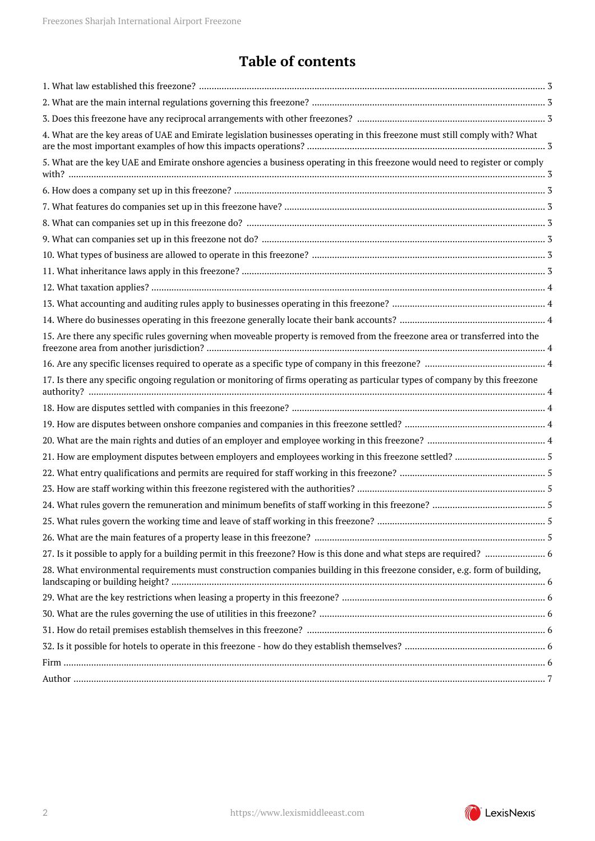## **Table of contents**

| 4. What are the key areas of UAE and Emirate legislation businesses operating in this freezone must still comply with? What   |
|-------------------------------------------------------------------------------------------------------------------------------|
| 5. What are the key UAE and Emirate onshore agencies a business operating in this freezone would need to register or comply   |
|                                                                                                                               |
|                                                                                                                               |
|                                                                                                                               |
|                                                                                                                               |
|                                                                                                                               |
|                                                                                                                               |
|                                                                                                                               |
|                                                                                                                               |
|                                                                                                                               |
| 15. Are there any specific rules governing when moveable property is removed from the freezone area or transferred into the   |
|                                                                                                                               |
| 17. Is there any specific ongoing regulation or monitoring of firms operating as particular types of company by this freezone |
|                                                                                                                               |
|                                                                                                                               |
|                                                                                                                               |
|                                                                                                                               |
|                                                                                                                               |
|                                                                                                                               |
|                                                                                                                               |
|                                                                                                                               |
|                                                                                                                               |
|                                                                                                                               |
| 28. What environmental requirements must construction companies building in this freezone consider, e.g. form of building,    |
|                                                                                                                               |
|                                                                                                                               |
|                                                                                                                               |
|                                                                                                                               |
|                                                                                                                               |
|                                                                                                                               |

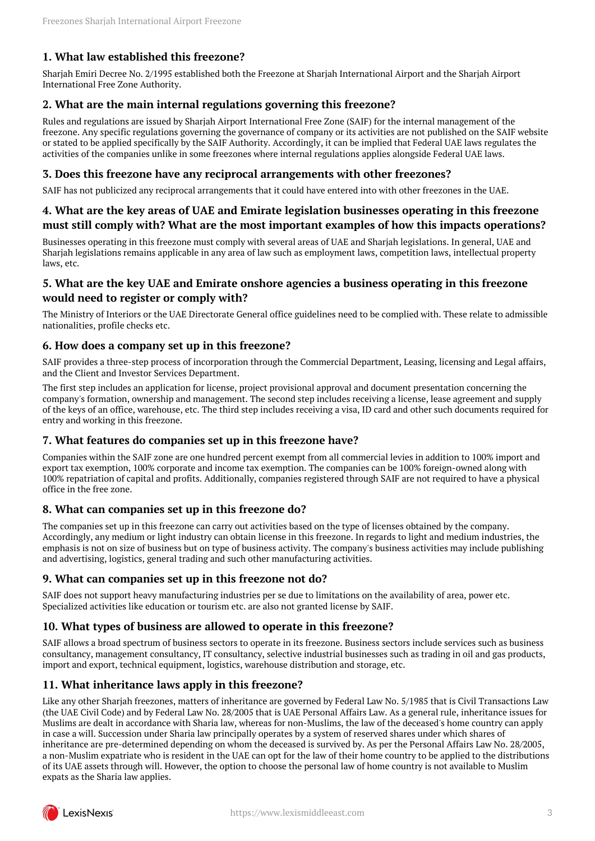## <span id="page-2-0"></span>**1. What law established this freezone?**

Sharjah Emiri Decree No. 2/1995 established both the Freezone at Sharjah International Airport and the Sharjah Airport International Free Zone Authority.

#### <span id="page-2-1"></span>**2. What are the main internal regulations governing this freezone?**

Rules and regulations are issued by Sharjah Airport International Free Zone (SAIF) for the internal management of the freezone. Any specific regulations governing the governance of company or its activities are not published on the SAIF website or stated to be applied specifically by the SAIF Authority. Accordingly, it can be implied that Federal UAE laws regulates the activities of the companies unlike in some freezones where internal regulations applies alongside Federal UAE laws.

#### <span id="page-2-2"></span>**3. Does this freezone have any reciprocal arrangements with other freezones?**

SAIF has not publicized any reciprocal arrangements that it could have entered into with other freezones in the UAE.

## <span id="page-2-3"></span>**4. What are the key areas of UAE and Emirate legislation businesses operating in this freezone must still comply with? What are the most important examples of how this impacts operations?**

Businesses operating in this freezone must comply with several areas of UAE and Sharjah legislations. In general, UAE and Sharjah legislations remains applicable in any area of law such as employment laws, competition laws, intellectual property laws, etc.

## <span id="page-2-4"></span>**5. What are the key UAE and Emirate onshore agencies a business operating in this freezone would need to register or comply with?**

The Ministry of Interiors or the UAE Directorate General office guidelines need to be complied with. These relate to admissible nationalities, profile checks etc.

#### <span id="page-2-5"></span>**6. How does a company set up in this freezone?**

SAIF provides a three-step process of incorporation through the Commercial Department, Leasing, licensing and Legal affairs, and the Client and Investor Services Department.

The first step includes an application for license, project provisional approval and document presentation concerning the company's formation, ownership and management. The second step includes receiving a license, lease agreement and supply of the keys of an office, warehouse, etc. The third step includes receiving a visa, ID card and other such documents required for entry and working in this freezone.

#### <span id="page-2-6"></span>**7. What features do companies set up in this freezone have?**

Companies within the SAIF zone are one hundred percent exempt from all commercial levies in addition to 100% import and export tax exemption, 100% corporate and income tax exemption. The companies can be 100% foreign-owned along with 100% repatriation of capital and profits. Additionally, companies registered through SAIF are not required to have a physical office in the free zone.

#### <span id="page-2-7"></span>**8. What can companies set up in this freezone do?**

The companies set up in this freezone can carry out activities based on the type of licenses obtained by the company. Accordingly, any medium or light industry can obtain license in this freezone. In regards to light and medium industries, the emphasis is not on size of business but on type of business activity. The company's business activities may include publishing and advertising, logistics, general trading and such other manufacturing activities.

#### <span id="page-2-8"></span>**9. What can companies set up in this freezone not do?**

SAIF does not support heavy manufacturing industries per se due to limitations on the availability of area, power etc. Specialized activities like education or tourism etc. are also not granted license by SAIF.

#### <span id="page-2-9"></span>**10. What types of business are allowed to operate in this freezone?**

SAIF allows a broad spectrum of business sectors to operate in its freezone. Business sectors include services such as business consultancy, management consultancy, IT consultancy, selective industrial businesses such as trading in oil and gas products, import and export, technical equipment, logistics, warehouse distribution and storage, etc.

#### <span id="page-2-10"></span>**11. What inheritance laws apply in this freezone?**

Like any other Sharjah freezones, matters of inheritance are governed by Federal Law No. 5/1985 that is Civil Transactions Law (the UAE Civil Code) and by Federal Law No. 28/2005 that is UAE Personal Affairs Law. As a general rule, inheritance issues for Muslims are dealt in accordance with Sharia law, whereas for non-Muslims, the law of the deceased's home country can apply in case a will. Succession under Sharia law principally operates by a system of reserved shares under which shares of inheritance are pre-determined depending on whom the deceased is survived by. As per the Personal Affairs Law No. 28/2005, a non-Muslim expatriate who is resident in the UAE can opt for the law of their home country to be applied to the distributions of its UAE assets through will. However, the option to choose the personal law of home country is not available to Muslim expats as the Sharia law applies.

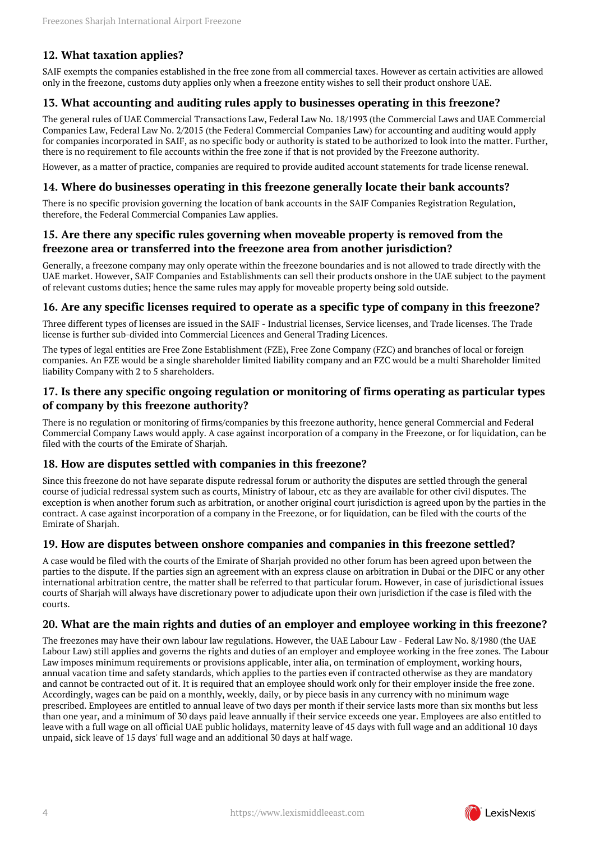## <span id="page-3-0"></span>**12. What taxation applies?**

SAIF exempts the companies established in the free zone from all commercial taxes. However as certain activities are allowed only in the freezone, customs duty applies only when a freezone entity wishes to sell their product onshore UAE.

## <span id="page-3-1"></span>**13. What accounting and auditing rules apply to businesses operating in this freezone?**

The general rules of UAE Commercial Transactions Law, Federal Law No. 18/1993 (the Commercial Laws and UAE Commercial Companies Law, Federal Law No. 2/2015 (the Federal Commercial Companies Law) for accounting and auditing would apply for companies incorporated in SAIF, as no specific body or authority is stated to be authorized to look into the matter. Further, there is no requirement to file accounts within the free zone if that is not provided by the Freezone authority.

However, as a matter of practice, companies are required to provide audited account statements for trade license renewal.

#### <span id="page-3-2"></span>**14. Where do businesses operating in this freezone generally locate their bank accounts?**

There is no specific provision governing the location of bank accounts in the SAIF Companies Registration Regulation, therefore, the Federal Commercial Companies Law applies.

#### <span id="page-3-3"></span>**15. Are there any specific rules governing when moveable property is removed from the freezone area or transferred into the freezone area from another jurisdiction?**

Generally, a freezone company may only operate within the freezone boundaries and is not allowed to trade directly with the UAE market. However, SAIF Companies and Establishments can sell their products onshore in the UAE subject to the payment of relevant customs duties; hence the same rules may apply for moveable property being sold outside.

#### <span id="page-3-4"></span>**16. Are any specific licenses required to operate as a specific type of company in this freezone?**

Three different types of licenses are issued in the SAIF - Industrial licenses, Service licenses, and Trade licenses. The Trade license is further sub-divided into Commercial Licences and General Trading Licences.

The types of legal entities are Free Zone Establishment (FZE), Free Zone Company (FZC) and branches of local or foreign companies. An FZE would be a single shareholder limited liability company and an FZC would be a multi Shareholder limited liability Company with 2 to 5 shareholders.

## <span id="page-3-5"></span>**17. Is there any specific ongoing regulation or monitoring of firms operating as particular types of company by this freezone authority?**

There is no regulation or monitoring of firms/companies by this freezone authority, hence general Commercial and Federal Commercial Company Laws would apply. A case against incorporation of a company in the Freezone, or for liquidation, can be filed with the courts of the Emirate of Sharjah.

#### <span id="page-3-6"></span>**18. How are disputes settled with companies in this freezone?**

Since this freezone do not have separate dispute redressal forum or authority the disputes are settled through the general course of judicial redressal system such as courts, Ministry of labour, etc as they are available for other civil disputes. The exception is when another forum such as arbitration, or another original court jurisdiction is agreed upon by the parties in the contract. A case against incorporation of a company in the Freezone, or for liquidation, can be filed with the courts of the Emirate of Sharjah.

#### <span id="page-3-7"></span>**19. How are disputes between onshore companies and companies in this freezone settled?**

A case would be filed with the courts of the Emirate of Sharjah provided no other forum has been agreed upon between the parties to the dispute. If the parties sign an agreement with an express clause on arbitration in Dubai or the DIFC or any other international arbitration centre, the matter shall be referred to that particular forum. However, in case of jurisdictional issues courts of Sharjah will always have discretionary power to adjudicate upon their own jurisdiction if the case is filed with the courts.

## <span id="page-3-8"></span>**20. What are the main rights and duties of an employer and employee working in this freezone?**

The freezones may have their own labour law regulations. However, the UAE Labour Law - Federal Law No. 8/1980 (the UAE Labour Law) still applies and governs the rights and duties of an employer and employee working in the free zones. The Labour Law imposes minimum requirements or provisions applicable, inter alia, on termination of employment, working hours, annual vacation time and safety standards, which applies to the parties even if contracted otherwise as they are mandatory and cannot be contracted out of it. It is required that an employee should work only for their employer inside the free zone. Accordingly, wages can be paid on a monthly, weekly, daily, or by piece basis in any currency with no minimum wage prescribed. Employees are entitled to annual leave of two days per month if their service lasts more than six months but less than one year, and a minimum of 30 days paid leave annually if their service exceeds one year. Employees are also entitled to leave with a full wage on all official UAE public holidays, maternity leave of 45 days with full wage and an additional 10 days unpaid, sick leave of 15 days' full wage and an additional 30 days at half wage.

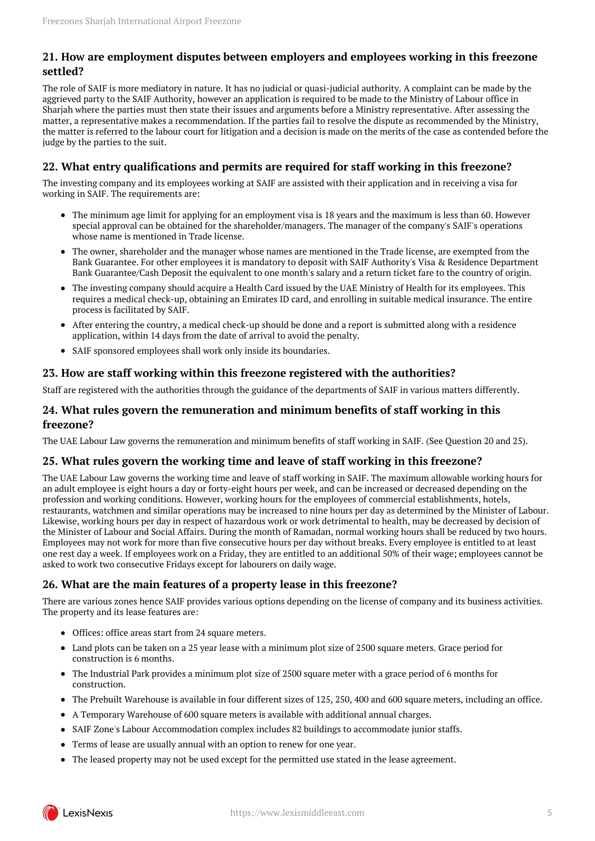## <span id="page-4-0"></span>**21. How are employment disputes between employers and employees working in this freezone settled?**

The role of SAIF is more mediatory in nature. It has no judicial or quasi-judicial authority. A complaint can be made by the aggrieved party to the SAIF Authority, however an application is required to be made to the Ministry of Labour office in Sharjah where the parties must then state their issues and arguments before a Ministry representative. After assessing the matter, a representative makes a recommendation. If the parties fail to resolve the dispute as recommended by the Ministry, the matter is referred to the labour court for litigation and a decision is made on the merits of the case as contended before the judge by the parties to the suit.

## <span id="page-4-1"></span>**22. What entry qualifications and permits are required for staff working in this freezone?**

The investing company and its employees working at SAIF are assisted with their application and in receiving a visa for working in SAIF. The requirements are:

- The minimum age limit for applying for an employment visa is 18 years and the maximum is less than 60. However special approval can be obtained for the shareholder/managers. The manager of the company's SAIF's operations whose name is mentioned in Trade license.
- The owner, shareholder and the manager whose names are mentioned in the Trade license, are exempted from the Bank Guarantee. For other employees it is mandatory to deposit with SAIF Authority's Visa & Residence Department Bank Guarantee/Cash Deposit the equivalent to one month's salary and a return ticket fare to the country of origin.
- The investing company should acquire a Health Card issued by the UAE Ministry of Health for its employees. This requires a medical check-up, obtaining an Emirates ID card, and enrolling in suitable medical insurance. The entire process is facilitated by SAIF.
- After entering the country, a medical check-up should be done and a report is submitted along with a residence application, within 14 days from the date of arrival to avoid the penalty.
- SAIF sponsored employees shall work only inside its boundaries.

## <span id="page-4-2"></span>**23. How are staff working within this freezone registered with the authorities?**

Staff are registered with the authorities through the guidance of the departments of SAIF in various matters differently.

## <span id="page-4-3"></span>**24. What rules govern the remuneration and minimum benefits of staff working in this freezone?**

The UAE Labour Law governs the remuneration and minimum benefits of staff working in SAIF. (See Question 20 and 25).

## <span id="page-4-4"></span>**25. What rules govern the working time and leave of staff working in this freezone?**

The UAE Labour Law governs the working time and leave of staff working in SAIF. The maximum allowable working hours for an adult employee is eight hours a day or forty-eight hours per week, and can be increased or decreased depending on the profession and working conditions. However, working hours for the employees of commercial establishments, hotels, restaurants, watchmen and similar operations may be increased to nine hours per day as determined by the Minister of Labour. Likewise, working hours per day in respect of hazardous work or work detrimental to health, may be decreased by decision of the Minister of Labour and Social Affairs. During the month of Ramadan, normal working hours shall be reduced by two hours. Employees may not work for more than five consecutive hours per day without breaks. Every employee is entitled to at least one rest day a week. If employees work on a Friday, they are entitled to an additional 50% of their wage; employees cannot be asked to work two consecutive Fridays except for labourers on daily wage.

## <span id="page-4-5"></span>**26. What are the main features of a property lease in this freezone?**

There are various zones hence SAIF provides various options depending on the license of company and its business activities. The property and its lease features are:

- Offices: office areas start from 24 square meters.
- Land plots can be taken on a 25 year lease with a minimum plot size of 2500 square meters. Grace period for construction is 6 months.
- The Industrial Park provides a minimum plot size of 2500 square meter with a grace period of 6 months for construction.
- The Prebuilt Warehouse is available in four different sizes of 125, 250, 400 and 600 square meters, including an office.
- A Temporary Warehouse of 600 square meters is available with additional annual charges.
- SAIF Zone's Labour Accommodation complex includes 82 buildings to accommodate junior staffs.
- Terms of lease are usually annual with an option to renew for one year.
- The leased property may not be used except for the permitted use stated in the lease agreement.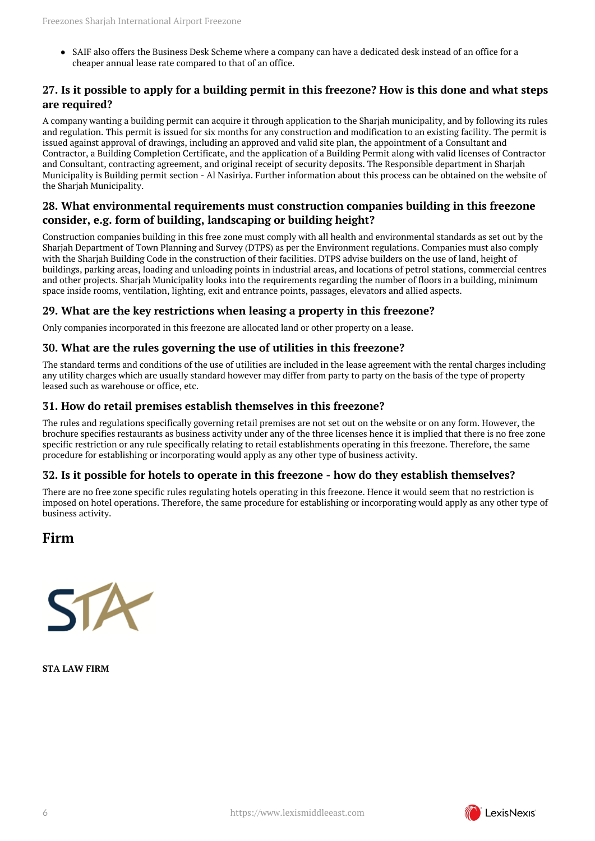SAIF also offers the Business Desk Scheme where a company can have a dedicated desk instead of an office for a cheaper annual lease rate compared to that of an office.

## <span id="page-5-0"></span>**27. Is it possible to apply for a building permit in this freezone? How is this done and what steps are required?**

A company wanting a building permit can acquire it through application to the Sharjah municipality, and by following its rules and regulation. This permit is issued for six months for any construction and modification to an existing facility. The permit is issued against approval of drawings, including an approved and valid site plan, the appointment of a Consultant and Contractor, a Building Completion Certificate, and the application of a Building Permit along with valid licenses of Contractor and Consultant, contracting agreement, and original receipt of security deposits. The Responsible department in Sharjah Municipality is Building permit section - Al Nasiriya. Further information about this process can be obtained on the website of the Sharjah Municipality.

## <span id="page-5-1"></span>**28. What environmental requirements must construction companies building in this freezone consider, e.g. form of building, landscaping or building height?**

Construction companies building in this free zone must comply with all health and environmental standards as set out by the Sharjah Department of Town Planning and Survey (DTPS) as per the Environment regulations. Companies must also comply with the Sharjah Building Code in the construction of their facilities. DTPS advise builders on the use of land, height of buildings, parking areas, loading and unloading points in industrial areas, and locations of petrol stations, commercial centres and other projects. Sharjah Municipality looks into the requirements regarding the number of floors in a building, minimum space inside rooms, ventilation, lighting, exit and entrance points, passages, elevators and allied aspects.

## <span id="page-5-2"></span>**29. What are the key restrictions when leasing a property in this freezone?**

Only companies incorporated in this freezone are allocated land or other property on a lease.

## <span id="page-5-3"></span>**30. What are the rules governing the use of utilities in this freezone?**

The standard terms and conditions of the use of utilities are included in the lease agreement with the rental charges including any utility charges which are usually standard however may differ from party to party on the basis of the type of property leased such as warehouse or office, etc.

## <span id="page-5-4"></span>**31. How do retail premises establish themselves in this freezone?**

The rules and regulations specifically governing retail premises are not set out on the website or on any form. However, the brochure specifies restaurants as business activity under any of the three licenses hence it is implied that there is no free zone specific restriction or any rule specifically relating to retail establishments operating in this freezone. Therefore, the same procedure for establishing or incorporating would apply as any other type of business activity.

## <span id="page-5-5"></span>**32. Is it possible for hotels to operate in this freezone - how do they establish themselves?**

There are no free zone specific rules regulating hotels operating in this freezone. Hence it would seem that no restriction is imposed on hotel operations. Therefore, the same procedure for establishing or incorporating would apply as any other type of business activity.

## <span id="page-5-6"></span>**Firm**



**STA LAW FIRM**